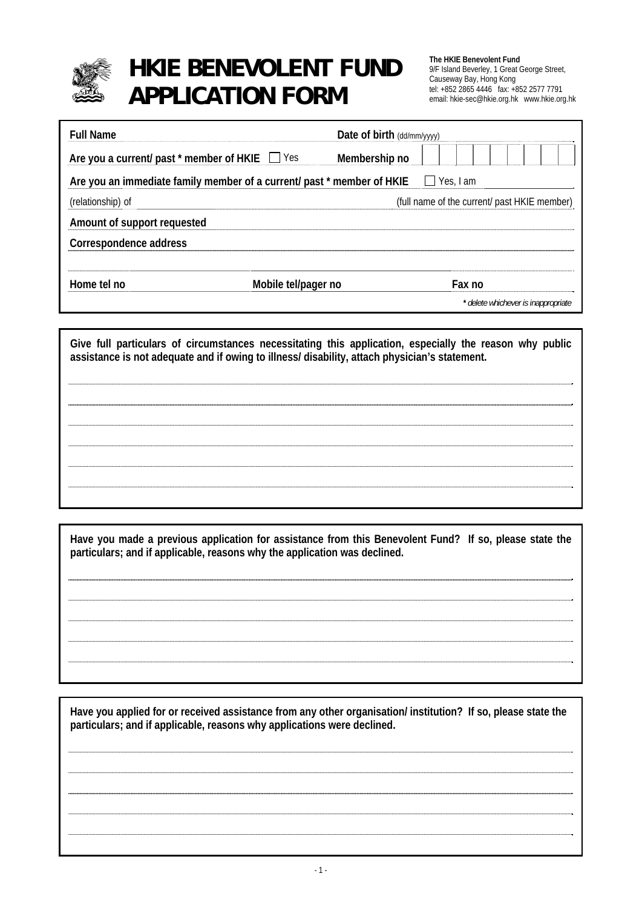

# **HKIE BENEVOLENT FUND** The HKIE Benevolent Fund tel: +852 2865 4446 fax: +852 2577 7791 **APPLICATION FORM** email: hkie-sec@hkie.org.hk www.hkie.org.hk

9/F Island Beverley, 1 Great George Street, Causeway Bay, Hong Kong<br>
tel: +852 2865 4446 fax: +852 2577 7791

| <b>Full Name</b>                                                       |                     | Date of birth (dd/mm/yyyy) |                                              |  |
|------------------------------------------------------------------------|---------------------|----------------------------|----------------------------------------------|--|
| Are you a current/ past $*$ member of HKIE $\Box$ Yes                  |                     | Membership no              |                                              |  |
| Are you an immediate family member of a current/ past * member of HKIE |                     |                            | Yes, I am                                    |  |
| (relationship) of                                                      |                     |                            | (full name of the current/ past HKIE member) |  |
| Amount of support requested                                            |                     |                            |                                              |  |
| Correspondence address                                                 |                     |                            |                                              |  |
|                                                                        |                     |                            |                                              |  |
| Home tel no                                                            | Mobile tel/pager no |                            | Fax no                                       |  |
|                                                                        |                     |                            | * delete whichever is inappropriate          |  |

**Give full particulars of circumstances necessitating this application, especially the reason why public assistance is not adequate and if owing to illness/ disability, attach physician's statement.** 

**Have you made a previous application for assistance from this Benevolent Fund? If so, please state the particulars; and if applicable, reasons why the application was declined.** 

**Have you applied for or received assistance from any other organisation/ institution? If so, please state the particulars; and if applicable, reasons why applications were declined.**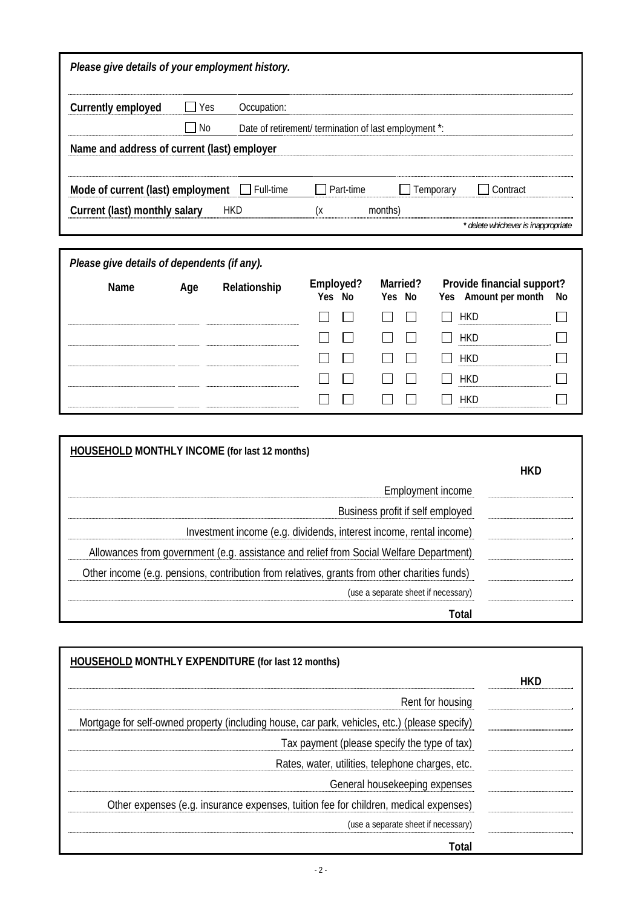| Please give details of your employment history.                                              |           |                  |                                                       |                                     |                                     |            |
|----------------------------------------------------------------------------------------------|-----------|------------------|-------------------------------------------------------|-------------------------------------|-------------------------------------|------------|
|                                                                                              | Yes       |                  |                                                       |                                     |                                     |            |
| <b>Currently employed</b>                                                                    |           | Occupation:      |                                                       |                                     |                                     |            |
|                                                                                              | <b>No</b> |                  | Date of retirement/ termination of last employment *: |                                     |                                     |            |
| Name and address of current (last) employer                                                  |           |                  |                                                       |                                     |                                     |            |
| Mode of current (last) employment                                                            |           | $\Box$ Full-time | Part-time                                             |                                     | Temporary<br>Contract               |            |
| Current (last) monthly salary                                                                |           | <b>HKD</b>       | (x                                                    | months)                             |                                     |            |
|                                                                                              |           |                  |                                                       |                                     | * delete whichever is inappropriate |            |
| Please give details of dependents (if any).                                                  |           |                  |                                                       |                                     |                                     |            |
|                                                                                              |           |                  | Employed?                                             | Married?                            | Provide financial support?          |            |
| Name                                                                                         | Age       | Relationship     | Yes No                                                | Yes No                              | Yes Amount per month                | No         |
|                                                                                              |           |                  |                                                       |                                     | <b>HKD</b>                          |            |
|                                                                                              |           |                  |                                                       |                                     | <b>HKD</b>                          |            |
|                                                                                              |           |                  |                                                       |                                     | <b>HKD</b>                          |            |
|                                                                                              |           |                  |                                                       |                                     | <b>HKD</b>                          |            |
|                                                                                              |           |                  |                                                       |                                     | <b>HKD</b>                          |            |
|                                                                                              |           |                  |                                                       |                                     |                                     |            |
| <b>HOUSEHOLD MONTHLY INCOME (for last 12 months)</b>                                         |           |                  |                                                       |                                     |                                     |            |
|                                                                                              |           |                  |                                                       |                                     |                                     | <b>HKD</b> |
|                                                                                              |           |                  |                                                       | Employment income                   |                                     |            |
| Business profit if self employed                                                             |           |                  |                                                       |                                     |                                     |            |
| Investment income (e.g. dividends, interest income, rental income)                           |           |                  |                                                       |                                     |                                     |            |
| Allowances from government (e.g. assistance and relief from Social Welfare Department)       |           |                  |                                                       |                                     |                                     |            |
| Other income (e.g. pensions, contribution from relatives, grants from other charities funds) |           |                  |                                                       |                                     |                                     |            |
|                                                                                              |           |                  |                                                       | (use a separate sheet if necessary) |                                     |            |
|                                                                                              |           |                  |                                                       |                                     | Total                               |            |
|                                                                                              |           |                  |                                                       |                                     |                                     |            |
| <b>HOUSEHOLD MONTHLY EXPENDITURE (for last 12 months)</b>                                    |           |                  |                                                       |                                     |                                     |            |
|                                                                                              |           |                  |                                                       |                                     |                                     | UVD        |

|                                                                                               | <b>HKD</b> |
|-----------------------------------------------------------------------------------------------|------------|
| Rent for housing                                                                              |            |
| Mortgage for self-owned property (including house, car park, vehicles, etc.) (please specify) |            |
| Tax payment (please specify the type of tax)                                                  |            |
| Rates, water, utilities, telephone charges, etc.                                              |            |
| General housekeeping expenses                                                                 |            |
| Other expenses (e.g. insurance expenses, tuition fee for children, medical expenses)          |            |
| (use a separate sheet if necessary)                                                           |            |
| Total                                                                                         |            |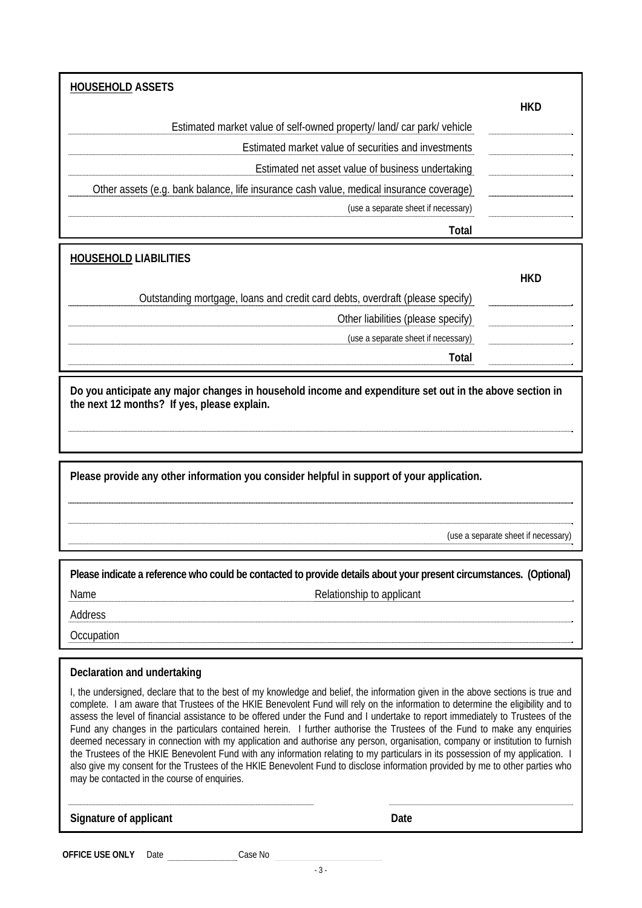| <b>HOUSEHOLD ASSETS</b>                                                                 |            |
|-----------------------------------------------------------------------------------------|------------|
|                                                                                         | <b>HKD</b> |
| Estimated market value of self-owned property/land/car park/vehicle                     |            |
| Estimated market value of securities and investments                                    |            |
| Estimated net asset value of business undertaking                                       |            |
| Other assets (e.g. bank balance, life insurance cash value, medical insurance coverage) |            |
| (use a separate sheet if necessary)                                                     |            |
| Total                                                                                   |            |
|                                                                                         |            |
| <b>HOUSEHOLD LIABILITIES</b>                                                            |            |
|                                                                                         | <b>HKD</b> |
| Outstanding mortgage, loans and credit card debts, overdraft (please specify)           |            |
| Other liabilities (please specify)                                                      |            |
| (use a separate sheet if necessary)                                                     |            |
| Total                                                                                   |            |

**Do you anticipate any major changes in household income and expenditure set out in the above section in the next 12 months? If yes, please explain.** 

**Please provide any other information you consider helpful in support of your application.** 

(use a separate sheet if necessary)

| Please indicate a reference who could be contacted to provide details about your present circumstances. (Optional) |                           |  |
|--------------------------------------------------------------------------------------------------------------------|---------------------------|--|
| Name                                                                                                               | Relationship to applicant |  |
| Address                                                                                                            |                           |  |
| Occupation                                                                                                         |                           |  |

#### **Declaration and undertaking**

I, the undersigned, declare that to the best of my knowledge and belief, the information given in the above sections is true and complete. I am aware that Trustees of the HKIE Benevolent Fund will rely on the information to determine the eligibility and to assess the level of financial assistance to be offered under the Fund and I undertake to report immediately to Trustees of the Fund any changes in the particulars contained herein. I further authorise the Trustees of the Fund to make any enquiries deemed necessary in connection with my application and authorise any person, organisation, company or institution to furnish the Trustees of the HKIE Benevolent Fund with any information relating to my particulars in its possession of my application. I also give my consent for the Trustees of the HKIE Benevolent Fund to disclose information provided by me to other parties who may be contacted in the course of enquiries.

**Signature of applicant Date**